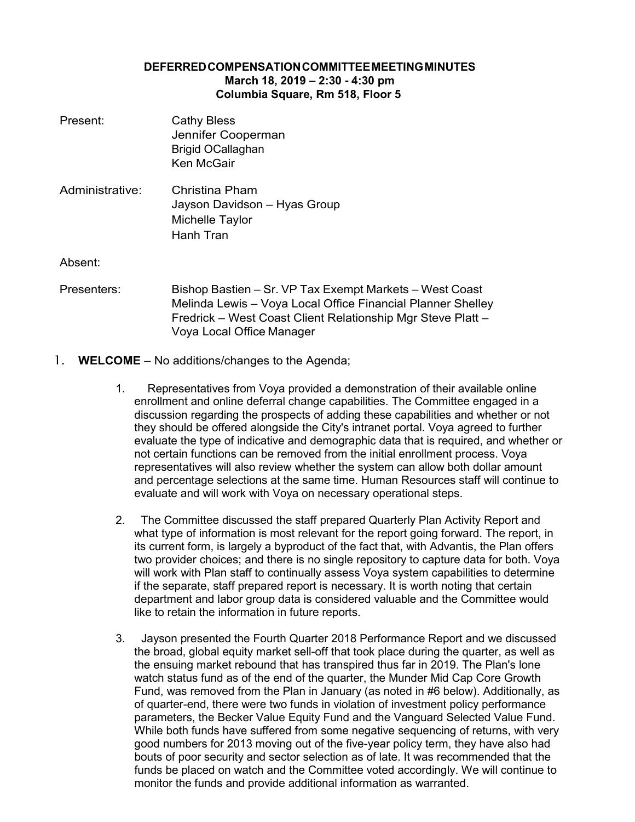## **DEFERREDCOMPENSATIONCOMMITTEEMEETINGMINUTES March 18, 2019 – 2:30 - 4:30 pm Columbia Square, Rm 518, Floor 5**

| Present:        | <b>Cathy Bless</b><br>Jennifer Cooperman<br><b>Brigid OCallaghan</b><br>Ken McGair                                                                                                                                 |
|-----------------|--------------------------------------------------------------------------------------------------------------------------------------------------------------------------------------------------------------------|
| Administrative: | Christina Pham<br>Jayson Davidson - Hyas Group<br>Michelle Taylor<br>Hanh Tran                                                                                                                                     |
| Absent:         |                                                                                                                                                                                                                    |
| Presenters:     | Bishop Bastien – Sr. VP Tax Exempt Markets – West Coast<br>Melinda Lewis - Voya Local Office Financial Planner Shelley<br>Fredrick – West Coast Client Relationship Mgr Steve Platt –<br>Voya Local Office Manager |

- 1. **WELCOME**  No additions/changes to the Agenda;
	- 1. Representatives from Voya provided a demonstration of their available online enrollment and online deferral change capabilities. The Committee engaged in a discussion regarding the prospects of adding these capabilities and whether or not they should be offered alongside the City's intranet portal. Voya agreed to further evaluate the type of indicative and demographic data that is required, and whether or not certain functions can be removed from the initial enrollment process. Voya representatives will also review whether the system can allow both dollar amount and percentage selections at the same time. Human Resources staff will continue to evaluate and will work with Voya on necessary operational steps.
	- 2. The Committee discussed the staff prepared Quarterly Plan Activity Report and what type of information is most relevant for the report going forward. The report, in its current form, is largely a byproduct of the fact that, with Advantis, the Plan offers two provider choices; and there is no single repository to capture data for both. Voya will work with Plan staff to continually assess Voya system capabilities to determine if the separate, staff prepared report is necessary. It is worth noting that certain department and labor group data is considered valuable and the Committee would like to retain the information in future reports.
	- 3. Jayson presented the Fourth Quarter 2018 Performance Report and we discussed the broad, global equity market sell-off that took place during the quarter, as well as the ensuing market rebound that has transpired thus far in 2019. The Plan's lone watch status fund as of the end of the quarter, the Munder Mid Cap Core Growth Fund, was removed from the Plan in January (as noted in #6 below). Additionally, as of quarter-end, there were two funds in violation of investment policy performance parameters, the Becker Value Equity Fund and the Vanguard Selected Value Fund. While both funds have suffered from some negative sequencing of returns, with very good numbers for 2013 moving out of the five-year policy term, they have also had bouts of poor security and sector selection as of late. It was recommended that the funds be placed on watch and the Committee voted accordingly. We will continue to monitor the funds and provide additional information as warranted.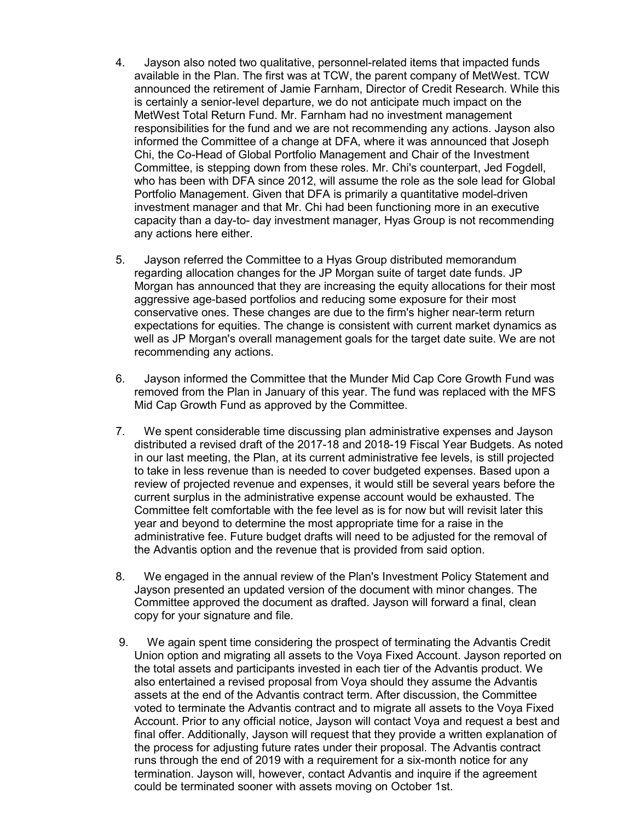- 4. Jayson also noted two qualitative, personnel-related items that impacted funds available in the Plan. The first was at TCW, the parent company of MetWest. TCW announced the retirement of Jamie Farnham, Director of Credit Research. While this is certainly a senior-level departure, we do not anticipate much impact on the MetWest Total Return Fund. Mr. Farnham had no investment management responsibilities for the fund and we are not recommending any actions. Jayson also informed the Committee of a change at DFA, where it was announced that Joseph Chi, the Co-Head of Global Portfolio Management and Chair of the Investment Committee, is stepping down from these roles. Mr. Chi's counterpart, Jed Fogdell, who has been with DFA since 2012, will assume the role as the sole lead for Global Portfolio Management. Given that DFA is primarily a quantitative model-driven investment manager and that Mr. Chi had been functioning more in an executive capacity than a day-to- day investment manager, Hyas Group is not recommending any actions here either.
- 5. Jayson referred the Committee to a Hyas Group distributed memorandum regarding allocation changes for the JP Morgan suite of target date funds. JP Morgan has announced that they are increasing the equity allocations for their most aggressive age-based portfolios and reducing some exposure for their most conservative ones. These changes are due to the firm's higher near-term return expectations for equities. The change is consistent with current market dynamics as well as JP Morgan's overall management goals for the target date suite. We are not recommending any actions.
- 6. Jayson informed the Committee that the Munder Mid Cap Core Growth Fund was removed from the Plan in January of this year. The fund was replaced with the MFS Mid Cap Growth Fund as approved by the Committee.
- 7. We spent considerable time discussing plan administrative expenses and Jayson distributed a revised draft of the 2017-18 and 2018-19 Fiscal Year Budgets. As noted in our last meeting, the Plan, at its current administrative fee levels, is still projected to take in less revenue than is needed to cover budgeted expenses. Based upon a review of projected revenue and expenses, it would still be several years before the current surplus in the administrative expense account would be exhausted. The Committee felt comfortable with the fee level as is for now but will revisit later this year and beyond to determine the most appropriate time for a raise in the administrative fee. Future budget drafts will need to be adjusted for the removal of the Advantis option and the revenue that is provided from said option.
- 8. We engaged in the annual review of the Plan's Investment Policy Statement and Jayson presented an updated version of the document with minor changes. The Committee approved the document as drafted. Jayson will forward a final, clean copy for your signature and file.
- 9. We again spent time considering the prospect of terminating the Advantis Credit Union option and migrating all assets to the Voya Fixed Account. Jayson reported on the total assets and participants invested in each tier of the Advantis product. We also entertained a revised proposal from Voya should they assume the Advantis assets at the end of the Advantis contract term. After discussion, the Committee voted to terminate the Advantis contract and to migrate all assets to the Voya Fixed Account. Prior to any official notice, Jayson will contact Voya and request a best and final offer. Additionally, Jayson will request that they provide a written explanation of the process for adjusting future rates under their proposal. The Advantis contract runs through the end of 2019 with a requirement for a six-month notice for any termination. Jayson will, however, contact Advantis and inquire if the agreement could be terminated sooner with assets moving on October 1st.